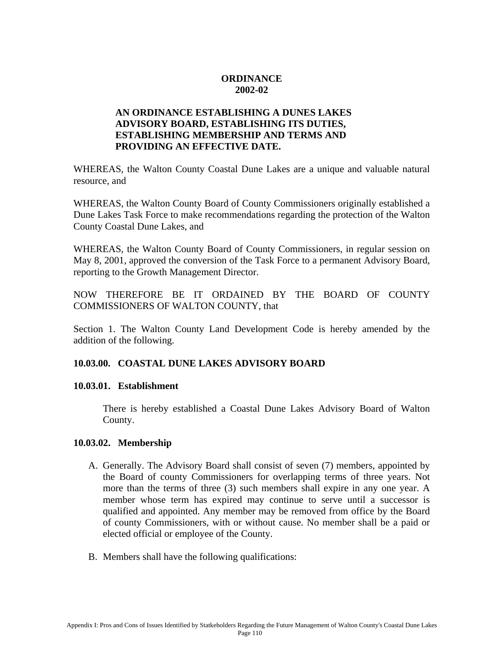## **ORDINANCE 2002-02**

# **AN ORDINANCE ESTABLISHING A DUNES LAKES ADVISORY BOARD, ESTABLISHING ITS DUTIES, ESTABLISHING MEMBERSHIP AND TERMS AND PROVIDING AN EFFECTIVE DATE.**

WHEREAS, the Walton County Coastal Dune Lakes are a unique and valuable natural resource, and

WHEREAS, the Walton County Board of County Commissioners originally established a Dune Lakes Task Force to make recommendations regarding the protection of the Walton County Coastal Dune Lakes, and

WHEREAS, the Walton County Board of County Commissioners, in regular session on May 8, 2001, approved the conversion of the Task Force to a permanent Advisory Board, reporting to the Growth Management Director.

NOW THEREFORE BE IT ORDAINED BY THE BOARD OF COUNTY COMMISSIONERS OF WALTON COUNTY, that

Section 1. The Walton County Land Development Code is hereby amended by the addition of the following.

# **10.03.00. COASTAL DUNE LAKES ADVISORY BOARD**

### **10.03.01. Establishment**

There is hereby established a Coastal Dune Lakes Advisory Board of Walton County.

### **10.03.02. Membership**

- A. Generally. The Advisory Board shall consist of seven (7) members, appointed by the Board of county Commissioners for overlapping terms of three years. Not more than the terms of three (3) such members shall expire in any one year. A member whose term has expired may continue to serve until a successor is qualified and appointed. Any member may be removed from office by the Board of county Commissioners, with or without cause. No member shall be a paid or elected official or employee of the County.
- B. Members shall have the following qualifications: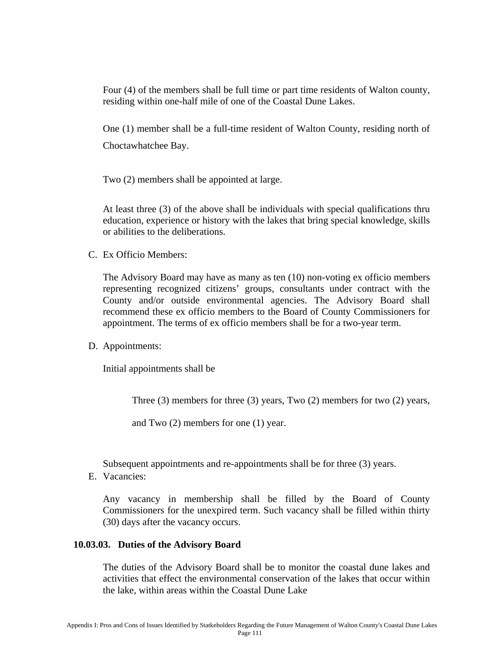Four (4) of the members shall be full time or part time residents of Walton county, residing within one-half mile of one of the Coastal Dune Lakes.

One (1) member shall be a full-time resident of Walton County, residing north of Choctawhatchee Bay.

Two (2) members shall be appointed at large.

At least three (3) of the above shall be individuals with special qualifications thru education, experience or history with the lakes that bring special knowledge, skills or abilities to the deliberations.

C. Ex Officio Members:

The Advisory Board may have as many as ten (10) non-voting ex officio members representing recognized citizens' groups, consultants under contract with the County and/or outside environmental agencies. The Advisory Board shall recommend these ex officio members to the Board of County Commissioners for appointment. The terms of ex officio members shall be for a two-year term.

D. Appointments:

Initial appointments shall be

Three (3) members for three (3) years, Two (2) members for two (2) years,

and Two (2) members for one (1) year.

Subsequent appointments and re-appointments shall be for three (3) years.

E. Vacancies:

Any vacancy in membership shall be filled by the Board of County Commissioners for the unexpired term. Such vacancy shall be filled within thirty (30) days after the vacancy occurs.

#### **10.03.03. Duties of the Advisory Board**

The duties of the Advisory Board shall be to monitor the coastal dune lakes and activities that effect the environmental conservation of the lakes that occur within the lake, within areas within the Coastal Dune Lake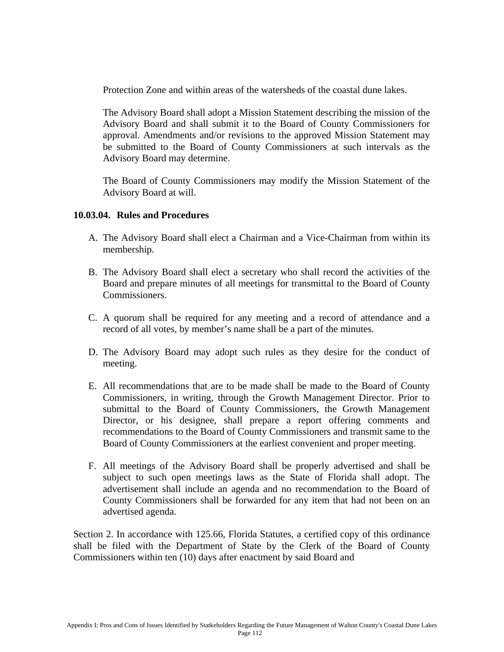Protection Zone and within areas of the watersheds of the coastal dune lakes.

The Advisory Board shall adopt a Mission Statement describing the mission of the Advisory Board and shall submit it to the Board of County Commissioners for approval. Amendments and/or revisions to the approved Mission Statement may be submitted to the Board of County Commissioners at such intervals as the Advisory Board may determine.

The Board of County Commissioners may modify the Mission Statement of the Advisory Board at will.

#### **10.03.04. Rules and Procedures**

- A. The Advisory Board shall elect a Chairman and a Vice-Chairman from within its membership.
- B. The Advisory Board shall elect a secretary who shall record the activities of the Board and prepare minutes of all meetings for transmittal to the Board of County Commissioners.
- C. A quorum shall be required for any meeting and a record of attendance and a record of all votes, by member's name shall be a part of the minutes.
- D. The Advisory Board may adopt such rules as they desire for the conduct of meeting.
- E. All recommendations that are to be made shall be made to the Board of County Commissioners, in writing, through the Growth Management Director. Prior to submittal to the Board of County Commissioners, the Growth Management Director, or his designee, shall prepare a report offering comments and recommendations to the Board of County Commissioners and transmit same to the Board of County Commissioners at the earliest convenient and proper meeting.
- F. All meetings of the Advisory Board shall be properly advertised and shall be subject to such open meetings laws as the State of Florida shall adopt. The advertisement shall include an agenda and no recommendation to the Board of County Commissioners shall be forwarded for any item that had not been on an advertised agenda.

Section 2. In accordance with 125.66, Florida Statutes, a certified copy of this ordinance shall be filed with the Department of State by the Clerk of the Board of County Commissioners within ten (10) days after enactment by said Board and